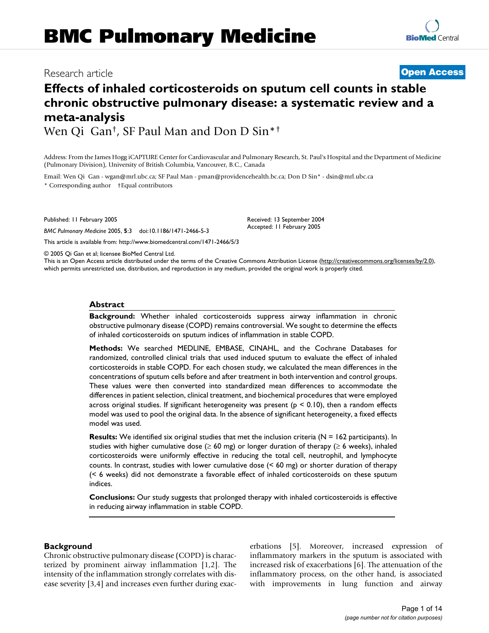## Research article **[Open Access](http://www.biomedcentral.com/info/about/charter/)**

# **Effects of inhaled corticosteroids on sputum cell counts in stable chronic obstructive pulmonary disease: a systematic review and a meta-analysis**

Wen Qi Gan†, SF Paul Man and Don D Sin\*†

Address: From the James Hogg iCAPTURE Center for Cardiovascular and Pulmonary Research, St. Paul's Hospital and the Department of Medicine (Pulmonary Division), University of British Columbia, Vancouver, B.C., Canada

> Received: 13 September 2004 Accepted: 11 February 2005

Email: Wen Qi Gan - wgan@mrl.ubc.ca; SF Paul Man - pman@providencehealth.bc.ca; Don D Sin\* - dsin@mrl.ubc.ca \* Corresponding author †Equal contributors

Published: 11 February 2005

*BMC Pulmonary Medicine* 2005, **5**:3 doi:10.1186/1471-2466-5-3

[This article is available from: http://www.biomedcentral.com/1471-2466/5/3](http://www.biomedcentral.com/1471-2466/5/3)

© 2005 Qi Gan et al; licensee BioMed Central Ltd.

This is an Open Access article distributed under the terms of the Creative Commons Attribution License [\(http://creativecommons.org/licenses/by/2.0\)](http://creativecommons.org/licenses/by/2.0), which permits unrestricted use, distribution, and reproduction in any medium, provided the original work is properly cited.

## **Abstract**

**Background:** Whether inhaled corticosteroids suppress airway inflammation in chronic obstructive pulmonary disease (COPD) remains controversial. We sought to determine the effects of inhaled corticosteroids on sputum indices of inflammation in stable COPD.

**Methods:** We searched MEDLINE, EMBASE, CINAHL, and the Cochrane Databases for randomized, controlled clinical trials that used induced sputum to evaluate the effect of inhaled corticosteroids in stable COPD. For each chosen study, we calculated the mean differences in the concentrations of sputum cells before and after treatment in both intervention and control groups. These values were then converted into standardized mean differences to accommodate the differences in patient selection, clinical treatment, and biochemical procedures that were employed across original studies. If significant heterogeneity was present ( $p \le 0.10$ ), then a random effects model was used to pool the original data. In the absence of significant heterogeneity, a fixed effects model was used.

**Results:** We identified six original studies that met the inclusion criteria (N = 162 participants). In studies with higher cumulative dose ( $\geq 60$  mg) or longer duration of therapy ( $\geq 6$  weeks), inhaled corticosteroids were uniformly effective in reducing the total cell, neutrophil, and lymphocyte counts. In contrast, studies with lower cumulative dose (< 60 mg) or shorter duration of therapy (< 6 weeks) did not demonstrate a favorable effect of inhaled corticosteroids on these sputum indices.

**Conclusions:** Our study suggests that prolonged therapy with inhaled corticosteroids is effective in reducing airway inflammation in stable COPD.

## **Background**

Chronic obstructive pulmonary disease (COPD) is characterized by prominent airway inflammation [1,2]. The intensity of the inflammation strongly correlates with disease severity [3,4] and increases even further during exacerbations [5]. Moreover, increased expression of inflammatory markers in the sputum is associated with increased risk of exacerbations [6]. The attenuation of the inflammatory process, on the other hand, is associated with improvements in lung function and airway

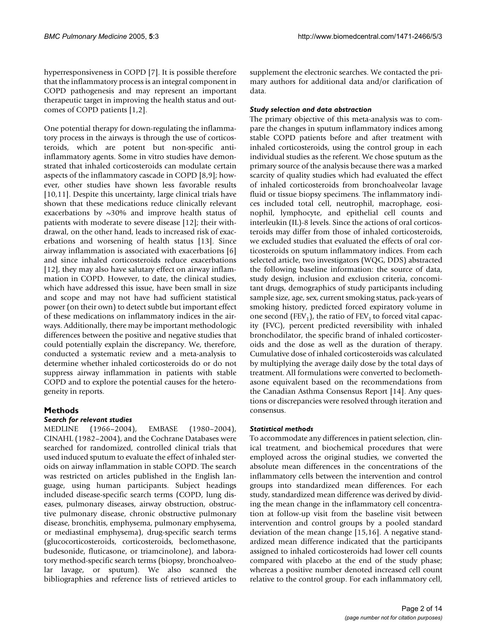hyperresponsiveness in COPD [7]. It is possible therefore that the inflammatory process is an integral component in COPD pathogenesis and may represent an important therapeutic target in improving the health status and outcomes of COPD patients [1,2].

One potential therapy for down-regulating the inflammatory process in the airways is through the use of corticosteroids, which are potent but non-specific antiinflammatory agents. Some in vitro studies have demonstrated that inhaled corticosteroids can modulate certain aspects of the inflammatory cascade in COPD [8,9]; however, other studies have shown less favorable results [10,11]. Despite this uncertainty, large clinical trials have shown that these medications reduce clinically relevant exacerbations by  $\sim$ 30% and improve health status of patients with moderate to severe disease [12]; their withdrawal, on the other hand, leads to increased risk of exacerbations and worsening of health status [13]. Since airway inflammation is associated with exacerbations [6] and since inhaled corticosteroids reduce exacerbations [12], they may also have salutary effect on airway inflammation in COPD. However, to date, the clinical studies, which have addressed this issue, have been small in size and scope and may not have had sufficient statistical power (on their own) to detect subtle but important effect of these medications on inflammatory indices in the airways. Additionally, there may be important methodologic differences between the positive and negative studies that could potentially explain the discrepancy. We, therefore, conducted a systematic review and a meta-analysis to determine whether inhaled corticosteroids do or do not suppress airway inflammation in patients with stable COPD and to explore the potential causes for the heterogeneity in reports.

## **Methods**

## *Search for relevant studies*

MEDLINE (1966–2004), EMBASE (1980–2004), CINAHL (1982–2004), and the Cochrane Databases were searched for randomized, controlled clinical trials that used induced sputum to evaluate the effect of inhaled steroids on airway inflammation in stable COPD. The search was restricted on articles published in the English language, using human participants. Subject headings included disease-specific search terms (COPD, lung diseases, pulmonary diseases, airway obstruction, obstructive pulmonary disease, chronic obstructive pulmonary disease, bronchitis, emphysema, pulmonary emphysema, or mediastinal emphysema), drug-specific search terms (glucocorticosteroids, corticosteroids, beclomethasone, budesonide, fluticasone, or triamcinolone), and laboratory method-specific search terms (biopsy, bronchoalveolar lavage, or sputum). We also scanned the bibliographies and reference lists of retrieved articles to

supplement the electronic searches. We contacted the primary authors for additional data and/or clarification of data.

## *Study selection and data abstraction*

The primary objective of this meta-analysis was to compare the changes in sputum inflammatory indices among stable COPD patients before and after treatment with inhaled corticosteroids, using the control group in each individual studies as the referent. We chose sputum as the primary source of the analysis because there was a marked scarcity of quality studies which had evaluated the effect of inhaled corticosteroids from bronchoalveolar lavage fluid or tissue biopsy specimens. The inflammatory indices included total cell, neutrophil, macrophage, eosinophil, lymphocyte, and epithelial cell counts and interleukin (IL)-8 levels. Since the actions of oral corticosteroids may differ from those of inhaled corticosteroids, we excluded studies that evaluated the effects of oral corticosteroids on sputum inflammatory indices. From each selected article, two investigators (WQG, DDS) abstracted the following baseline information: the source of data, study design, inclusion and exclusion criteria, concomitant drugs, demographics of study participants including sample size, age, sex, current smoking status, pack-years of smoking history, predicted forced expiratory volume in one second (FEV<sub>1</sub>), the ratio of FEV<sub>1</sub> to forced vital capacity (FVC), percent predicted reversibility with inhaled bronchodilator, the specific brand of inhaled corticosteroids and the dose as well as the duration of therapy. Cumulative dose of inhaled corticosteroids was calculated by multiplying the average daily dose by the total days of treatment. All formulations were converted to beclomethasone equivalent based on the recommendations from the Canadian Asthma Consensus Report [14]. Any questions or discrepancies were resolved through iteration and consensus.

## *Statistical methods*

To accommodate any differences in patient selection, clinical treatment, and biochemical procedures that were employed across the original studies, we converted the absolute mean differences in the concentrations of the inflammatory cells between the intervention and control groups into standardized mean differences. For each study, standardized mean difference was derived by dividing the mean change in the inflammatory cell concentration at follow-up visit from the baseline visit between intervention and control groups by a pooled standard deviation of the mean change [15,16]. A negative standardized mean difference indicated that the participants assigned to inhaled corticosteroids had lower cell counts compared with placebo at the end of the study phase; whereas a positive number denoted increased cell count relative to the control group. For each inflammatory cell,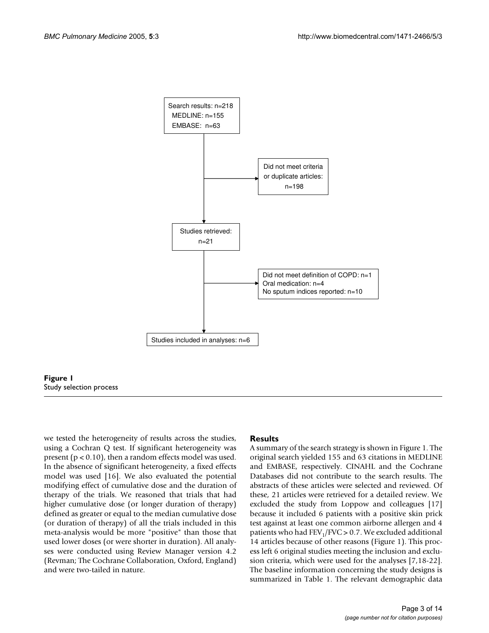



we tested the heterogeneity of results across the studies, using a Cochran Q test. If significant heterogeneity was present ( $p < 0.10$ ), then a random effects model was used. In the absence of significant heterogeneity, a fixed effects model was used [16]. We also evaluated the potential modifying effect of cumulative dose and the duration of therapy of the trials. We reasoned that trials that had higher cumulative dose (or longer duration of therapy) defined as greater or equal to the median cumulative dose (or duration of therapy) of all the trials included in this meta-analysis would be more "positive" than those that used lower doses (or were shorter in duration). All analyses were conducted using Review Manager version 4.2 (Revman; The Cochrane Collaboration, Oxford, England) and were two-tailed in nature.

## **Results**

A summary of the search strategy is shown in Figure 1. The original search yielded 155 and 63 citations in MEDLINE and EMBASE, respectively. CINAHL and the Cochrane Databases did not contribute to the search results. The abstracts of these articles were selected and reviewed. Of these, 21 articles were retrieved for a detailed review. We excluded the study from Loppow and colleagues [17] because it included 6 patients with a positive skin prick test against at least one common airborne allergen and 4 patients who had  $FEV<sub>1</sub>/FVC > 0.7$ . We excluded additional 14 articles because of other reasons (Figure 1). This process left 6 original studies meeting the inclusion and exclusion criteria, which were used for the analyses [7,18-22]. The baseline information concerning the study designs is summarized in Table 1. The relevant demographic data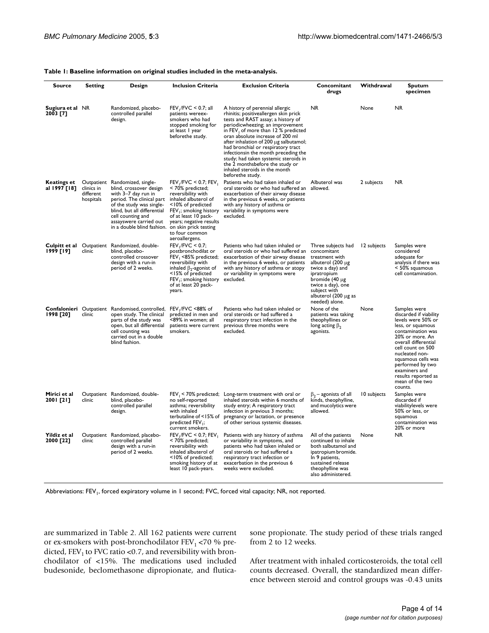| Table 1: Baseline information on original studies included in the meta-analysis. |  |
|----------------------------------------------------------------------------------|--|
|----------------------------------------------------------------------------------|--|

| <b>Source</b>                | Setting                              | Design                                                                                                                                                                                                                                                | <b>Inclusion Criteria</b>                                                                                                                                                                                                                                              | <b>Exclusion Criteria</b>                                                                                                                                                                                                                                                                                                                                                                                                                                                              | Concomitant<br>drugs                                                                                                                                                                                         | Withdrawal  | Sputum<br>specimen                                                                                                                                                                                                                                                                                       |
|------------------------------|--------------------------------------|-------------------------------------------------------------------------------------------------------------------------------------------------------------------------------------------------------------------------------------------------------|------------------------------------------------------------------------------------------------------------------------------------------------------------------------------------------------------------------------------------------------------------------------|----------------------------------------------------------------------------------------------------------------------------------------------------------------------------------------------------------------------------------------------------------------------------------------------------------------------------------------------------------------------------------------------------------------------------------------------------------------------------------------|--------------------------------------------------------------------------------------------------------------------------------------------------------------------------------------------------------------|-------------|----------------------------------------------------------------------------------------------------------------------------------------------------------------------------------------------------------------------------------------------------------------------------------------------------------|
| Sugiura et al NR<br>2003 [7] |                                      | Randomized, placebo-<br>controlled parallel<br>design.                                                                                                                                                                                                | $FEV_1/FVC$ < 0.7; all<br>patients wereex-<br>smokers who had<br>stopped smoking for<br>at least 1 year<br>beforethe study.                                                                                                                                            | A history of perennial allergic<br>rhinitis; positiveallergen skin prick<br>tests and RAST assay; a history of<br>periodicwheezing; an improvement<br>in FEV, of more than 12 % predicted<br>oran absolute increase of 200 ml<br>after inhalation of 200 µg salbutamol;<br>had bronchial or respiratory tract<br>infectionsin the month preceding the<br>study; had taken systemic steroids in<br>the 2 monthsbefore the study or<br>inhaled steroids in the month<br>beforethe study. | NR.                                                                                                                                                                                                          | None        | <b>NR</b>                                                                                                                                                                                                                                                                                                |
| Keatings et<br>al 1997 [18]  | clinics in<br>different<br>hospitals | Outpatient Randomized, single-<br>blind, crossover design<br>with 3-7 day run in<br>period. The clinical part<br>of the study was single-<br>blind, but all differential<br>cell counting and<br>assayswere carried out<br>in a double blind fashion. | $FEV1/FVC < 0.7$ ; $FEV1$<br>< 70% predicted;<br>reversibility with<br>inhaled albuterol of<br><10% of predicted<br>FEV <sub>1</sub> ; smoking history<br>of at least 10 pack-<br>years; negative results<br>on skin prick testing<br>to four common<br>aeroallergens. | Patients who had taken inhaled or<br>oral steroids or who had suffered an allowed.<br>exacerbation of their airway disease<br>in the previous 6 weeks, or patients<br>with any history of asthma or<br>variability in symptoms were<br>excluded.                                                                                                                                                                                                                                       | Albuterol was                                                                                                                                                                                                | 2 subjects  | NR.                                                                                                                                                                                                                                                                                                      |
| 1999 [19]                    | clinic                               | Culpitt et al Outpatient Randomized, double-<br>blind, placebo-<br>controlled crossover<br>design with a run-in<br>period of 2 weeks.                                                                                                                 | $FEV1/FVC < 0.7$ ;<br>postbronchodilat or<br>FEV <sub>1</sub> <85% predicted;<br>reversibility with<br>inhaled $\beta_2$ -agonist of<br><15% of predicted<br>FEV <sub>1</sub> ; smoking history<br>of at least 20 pack-<br>years.                                      | Patients who had taken inhaled or<br>oral steroids or who had suffered an<br>exacerbation of their airway disease<br>in the previous 6 weeks, or patients<br>with any history of asthma or atopy<br>or variability in symptoms were<br>excluded.                                                                                                                                                                                                                                       | Three subjects had<br>concomitant<br>treatment with<br>albuterol (200 µg<br>twice a day) and<br>ipratropium<br>bromide (40 µg<br>twice a day), one<br>subject with<br>albuterol (200 µg as<br>needed) alone. | 12 subjects | Samples were<br>considered<br>adequate for<br>analysis if there was<br>< 50% squamous<br>cell contamination.                                                                                                                                                                                             |
| 1998 [20]                    | clinic                               | Confalonieri Outpatient Randomised, controlled,<br>open study. The clinical<br>parts of the study was<br>open, but all differential<br>cell counting was<br>carried out in a double<br>blind fashion.                                                 | FEV <sub>1</sub> /FVC <88% of<br>predicted in men and<br><89% in women: all<br>patients were current<br>smokers.                                                                                                                                                       | Patients who had taken inhaled or<br>oral steroids or had suffered a<br>respiratory tract infection in the<br>previous three months were<br>excluded.                                                                                                                                                                                                                                                                                                                                  | None of the<br>patients was taking<br>theophyllines or<br>long acting $\beta_2$<br>agonists.                                                                                                                 | None        | Samples were<br>discarded if viability<br>levels were 50% or<br>less, or squamous<br>contamination was<br>20% or more. An<br>overall differential<br>cell count on 500<br>nucleated non-<br>squamous cells was<br>performed by two<br>examiners and<br>results reported as<br>mean of the two<br>counts. |
| Mirici et al<br>2001 [21]    | clinic                               | Outpatient Randomized, double-<br>blind, placebo-<br>controlled parallel<br>design.                                                                                                                                                                   | $FEV1 < 70%$ predicted;<br>no self-reported<br>asthma; reversibility<br>with inhaled<br>terbutaline of <15% of<br>predicted FEV <sub>1</sub> ;<br>current smokers.                                                                                                     | Long-term treatment with oral or<br>inhaled steroids within 6 months of<br>study entry; A respiratory tract<br>infection in previous 3 months;<br>pregnancy or lactation, or presence<br>of other serious systemic diseases.                                                                                                                                                                                                                                                           | $\beta_2$ – agonists of all<br>kinds, theophylline,<br>and mucolytics were<br>allowed.                                                                                                                       | 10 subjects | Samples were<br>discarded if<br>viabilitylevels were<br>50% or less, or<br>squamous<br>contamination was<br>20% or more                                                                                                                                                                                  |
| Yildiz et al<br>2000 [22]    | clinic                               | Outpatient Randomized, placebo-<br>controlled parallel<br>design with a run-in<br>period of 2 weeks.                                                                                                                                                  | $FEV1/FVC < 0.7$ ; $FEV1$<br>< 70% predicted;<br>reversibility with<br>inhaled albuterol of<br><10% of predicted;<br>smoking history of at<br>least 10 pack-years.                                                                                                     | Patients with any history of asthma<br>or variability in symptoms, and<br>patients who had taken inhaled or<br>oral steroids or had suffered a<br>respiratory tract infection or<br>exacerbation in the previous 6<br>weeks were excluded.                                                                                                                                                                                                                                             | All of the patients<br>continued to inhale<br>both salbutamol and<br>ipatropium bromide.<br>In 9 patients,<br>sustained release<br>theophylline was<br>also administered.                                    | None        | <b>NR</b>                                                                                                                                                                                                                                                                                                |

Abbreviations: FEV<sub>1</sub>, forced expiratory volume in 1 second; FVC, forced vital capacity; NR, not reported.

are summarized in Table [2](#page-4-0). All 162 patients were current or ex-smokers with post-bronchodilator  $FEV<sub>1</sub> < 70 %$  predicted,  $FEV<sub>1</sub>$  to FVC ratio <0.7, and reversibility with bronchodilator of <15%. The medications used included budesonide, beclomethasone dipropionate, and fluticasone propionate. The study period of these trials ranged from 2 to 12 weeks.

After treatment with inhaled corticosteroids, the total cell counts decreased. Overall, the standardized mean difference between steroid and control groups was -0.43 units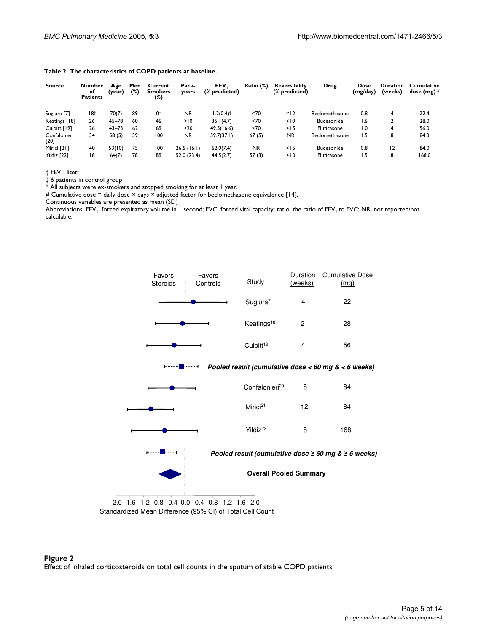| <b>Source</b>          | <b>Number</b><br>οf<br><b>Patients</b> | Age<br>(year) | Men<br>(%) | Current<br><b>Smokers</b><br>(%) | Pack-<br>years | <b>FEV</b><br>(% predicted) | Ratio (%) | <b>Reversibility</b><br>(% predicted) | Drug           | Dose<br>(mg/day) | <b>Duration</b><br>(weeks) | <b>Cumulative</b><br>dose $(mg)$ # |
|------------------------|----------------------------------------|---------------|------------|----------------------------------|----------------|-----------------------------|-----------|---------------------------------------|----------------|------------------|----------------------------|------------------------------------|
| Sugiura [7]            | 18‡                                    | 70(7)         | 89         | 0*                               | <b>NR</b>      | $1.2(0.4)$ <sup>†</sup>     | 270       | < 12                                  | Beclomethasone | 0.8              | 4                          | 22.4                               |
| Keatings [18]          | 26                                     | $45 - 78$     | 60         | 46                               | >10            | 35.1(4.7)                   | <70       | < 10                                  | Budesonide     | 1.6              |                            | 28.0                               |
| Culpitt [19]           | 26                                     | $43 - 73$     | 62         | 69                               | $>20$          | 49.5(16.6)                  | <70       | < 15                                  | Fluticasone    | 1.0              |                            | 56.0                               |
| Confalonieri<br>$[20]$ | 34                                     | 58(5)         | 59         | 100                              | <b>NR</b>      | 59.7(37.1)                  | 67(5)     | <b>NR</b>                             | Beclomethasone | 1.5              | 8                          | 84.0                               |
| Mirici [21]            | 40                                     | 53(10)        | 75         | 100                              | 26.5(16.1)     | 62.0(7.4)                   | <b>NR</b> | $<$ 15                                | Budesonide     | 0.8              | 12                         | 84.0                               |
| Yildiz [22]            | 18                                     | 64(7)         | 78         | 89                               | 52.0(23.4)     | 44.5(2.7)                   | 57(3)     | 10                                    | Fluticasone    | 1.5              | 8                          | 168.0                              |

<span id="page-4-0"></span>

| Table 2: The characteristics of COPD patients at baseline. |  |  |  |
|------------------------------------------------------------|--|--|--|
|------------------------------------------------------------|--|--|--|

† FEV1, liter;

‡ 6 patients in control group

\* All subjects were ex-smokers and stopped smoking for at least 1 year.

# Cumulative dose = daily dose × days × adjusted factor for beclomethasone equivalence [14].

Continuous variables are presented as mean (SD)

Abbreviations: FEV<sub>1</sub>, forced expiratory volume in 1 second; FVC, forced vital capacity; ratio, the ratio of FEV<sub>1</sub> to FVC; NR, not reported/not calculable.



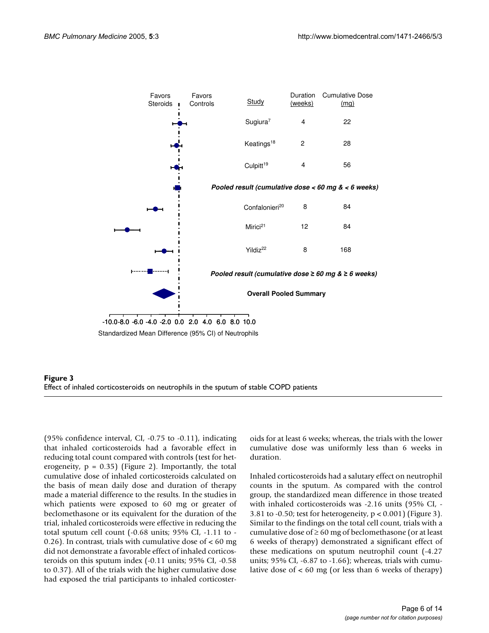



(95% confidence interval, CI, -0.75 to -0.11), indicating that inhaled corticosteroids had a favorable effect in reducing total count compared with controls (test for heterogeneity,  $p = 0.35$ ) (Figure 2). Importantly, the total cumulative dose of inhaled corticosteroids calculated on the basis of mean daily dose and duration of therapy made a material difference to the results. In the studies in which patients were exposed to 60 mg or greater of beclomethasone or its equivalent for the duration of the trial, inhaled corticosteroids were effective in reducing the total sputum cell count (-0.68 units; 95% CI, -1.11 to - 0.26). In contrast, trials with cumulative dose of  $< 60$  mg did not demonstrate a favorable effect of inhaled corticosteroids on this sputum index (-0.11 units; 95% CI, -0.58 to 0.37). All of the trials with the higher cumulative dose had exposed the trial participants to inhaled corticosteroids for at least 6 weeks; whereas, the trials with the lower cumulative dose was uniformly less than 6 weeks in duration.

Inhaled corticosteroids had a salutary effect on neutrophil counts in the sputum. As compared with the control group, the standardized mean difference in those treated with inhaled corticosteroids was -2.16 units (95% CI, - 3.81 to -0.50; test for heterogeneity,  $p < 0.001$ ) (Figure 3). Similar to the findings on the total cell count, trials with a cumulative dose of  $\geq 60$  mg of beclomethasone (or at least 6 weeks of therapy) demonstrated a significant effect of these medications on sputum neutrophil count (-4.27 units; 95% CI, -6.87 to -1.66); whereas, trials with cumulative dose of < 60 mg (or less than 6 weeks of therapy)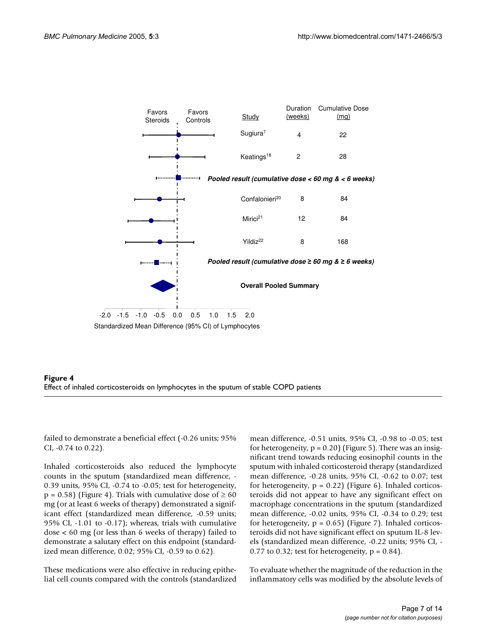



failed to demonstrate a beneficial effect (-0.26 units; 95% CI, -0.74 to 0.22).

Inhaled corticosteroids also reduced the lymphocyte counts in the sputum (standardized mean difference, - 0.39 units, 95% CI, -0.74 to -0.05; test for heterogeneity,  $p = 0.58$ ) (Figure 4). Trials with cumulative dose of  $\geq 60$ mg (or at least 6 weeks of therapy) demonstrated a significant effect (standardized mean difference, -0.59 units; 95% CI, -1.01 to -0.17); whereas, trials with cumulative dose < 60 mg (or less than 6 weeks of therapy) failed to demonstrate a salutary effect on this endpoint (standardized mean difference, 0.02; 95% CI, -0.59 to 0.62).

These medications were also effective in reducing epithelial cell counts compared with the controls (standardized mean difference, -0.51 units, 95% CI, -0.98 to -0.05; test for heterogeneity,  $p = 0.20$ ) (Figure [5](#page-7-0)). There was an insignificant trend towards reducing eosinophil counts in the sputum with inhaled corticosteroid therapy (standardized mean difference, -0.28 units, 95% CI, -0.62 to 0.07; test for heterogeneity,  $p = 0.22$ ) (Figure [6\)](#page-8-0). Inhaled corticosteroids did not appear to have any significant effect on macrophage concentrations in the sputum (standardized mean difference, -0.02 units, 95% CI, -0.34 to 0.29; test for heterogeneity,  $p = 0.65$ ) (Figure [7\)](#page-9-0). Inhaled corticosteroids did not have significant effect on sputum IL-8 levels (standardized mean difference, -0.22 units; 95% CI, - 0.77 to 0.32; test for heterogeneity,  $p = 0.84$ ).

To evaluate whether the magnitude of the reduction in the inflammatory cells was modified by the absolute levels of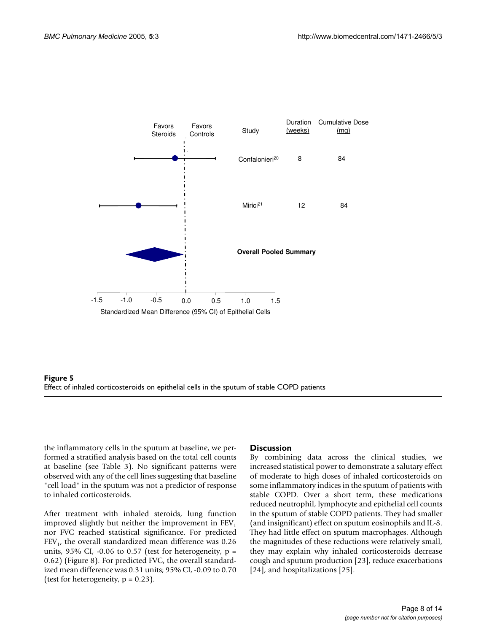<span id="page-7-0"></span>

## **Figure 5** Effect of inhaled corticosteroids on epithelial cells in the sputul cells in the sputul cells in the sput Effect of inhaled corticosteroids on epithelial cells in the sputum of stable COPD patients

the inflammatory cells in the sputum at baseline, we performed a stratified analysis based on the total cell counts at baseline (see Table 3). No significant patterns were observed with any of the cell lines suggesting that baseline "cell load" in the sputum was not a predictor of response to inhaled corticosteroids.

After treatment with inhaled steroids, lung function improved slightly but neither the improvement in  $FEV<sub>1</sub>$ nor FVC reached statistical significance. For predicted  $FEV<sub>1</sub>$ , the overall standardized mean difference was 0.26 units,  $95\%$  CI, -0.06 to 0.57 (test for heterogeneity,  $p =$ 0.62) (Figure [8\)](#page-10-0). For predicted FVC, the overall standardized mean difference was 0.31 units; 95% CI, -0.09 to 0.70 (test for heterogeneity,  $p = 0.23$ ).

## **Discussion**

By combining data across the clinical studies, we increased statistical power to demonstrate a salutary effect of moderate to high doses of inhaled corticosteroids on some inflammatory indices in the sputum of patients with stable COPD. Over a short term, these medications reduced neutrophil, lymphocyte and epithelial cell counts in the sputum of stable COPD patients. They had smaller (and insignificant) effect on sputum eosinophils and IL-8. They had little effect on sputum macrophages. Although the magnitudes of these reductions were relatively small, they may explain why inhaled corticosteroids decrease cough and sputum production [23], reduce exacerbations [24], and hospitalizations [25].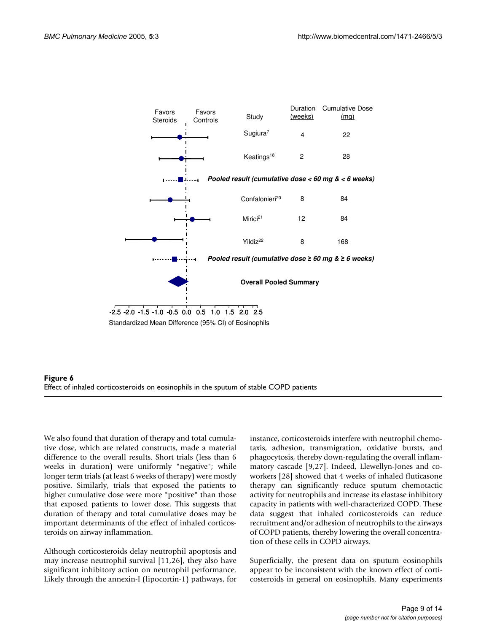<span id="page-8-0"></span>



We also found that duration of therapy and total cumulative dose, which are related constructs, made a material difference to the overall results. Short trials (less than 6 weeks in duration) were uniformly "negative"; while longer term trials (at least 6 weeks of therapy) were mostly positive. Similarly, trials that exposed the patients to higher cumulative dose were more "positive" than those that exposed patients to lower dose. This suggests that duration of therapy and total cumulative doses may be important determinants of the effect of inhaled corticosteroids on airway inflammation.

Although corticosteroids delay neutrophil apoptosis and may increase neutrophil survival [11,26], they also have significant inhibitory action on neutrophil performance. Likely through the annexin-I (lipocortin-1) pathways, for instance, corticosteroids interfere with neutrophil chemotaxis, adhesion, transmigration, oxidative bursts, and phagocytosis, thereby down-regulating the overall inflammatory cascade [9,27]. Indeed, Llewellyn-Jones and coworkers [28] showed that 4 weeks of inhaled fluticasone therapy can significantly reduce sputum chemotactic activity for neutrophils and increase its elastase inhibitory capacity in patients with well-characterized COPD. These data suggest that inhaled corticosteroids can reduce recruitment and/or adhesion of neutrophils to the airways of COPD patients, thereby lowering the overall concentration of these cells in COPD airways.

Superficially, the present data on sputum eosinophils appear to be inconsistent with the known effect of corticosteroids in general on eosinophils. Many experiments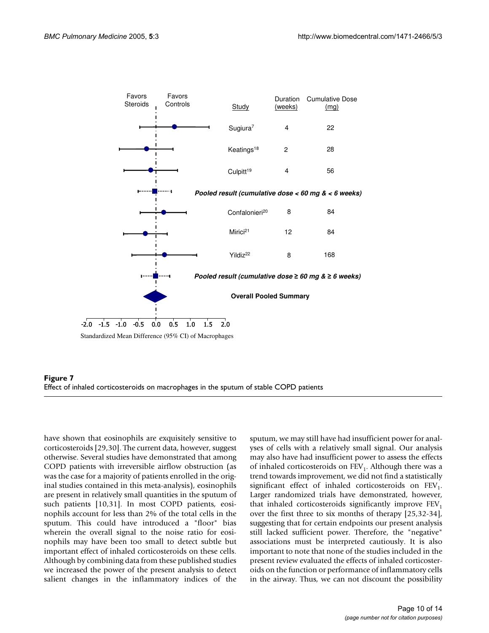<span id="page-9-0"></span>



have shown that eosinophils are exquisitely sensitive to corticosteroids [29,30]. The current data, however, suggest otherwise. Several studies have demonstrated that among COPD patients with irreversible airflow obstruction (as was the case for a majority of patients enrolled in the original studies contained in this meta-analysis), eosinophils are present in relatively small quantities in the sputum of such patients [10,31]. In most COPD patients, eosinophils account for less than 2% of the total cells in the sputum. This could have introduced a "floor" bias wherein the overall signal to the noise ratio for eosinophils may have been too small to detect subtle but important effect of inhaled corticosteroids on these cells. Although by combining data from these published studies we increased the power of the present analysis to detect salient changes in the inflammatory indices of the sputum, we may still have had insufficient power for analyses of cells with a relatively small signal. Our analysis may also have had insufficient power to assess the effects of inhaled corticosteroids on  $FEV<sub>1</sub>$ . Although there was a trend towards improvement, we did not find a statistically significant effect of inhaled corticosteroids on  $FEV<sub>1</sub>$ . Larger randomized trials have demonstrated, however, that inhaled corticosteroids significantly improve  $FEV<sub>1</sub>$ over the first three to six months of therapy [25,32-34], suggesting that for certain endpoints our present analysis still lacked sufficient power. Therefore, the "negative" associations must be interpreted cautiously. It is also important to note that none of the studies included in the present review evaluated the effects of inhaled corticosteroids on the function or performance of inflammatory cells in the airway. Thus, we can not discount the possibility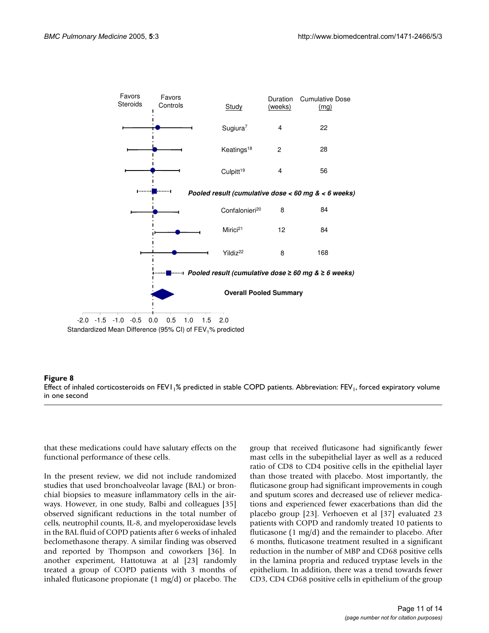<span id="page-10-0"></span>

## Effect of inhaled corticosteroids on FEV11% predicted in stable COPD patients. Abbreviation: FEV1 in one second **Figure 8** , forced expiratory volume Effect of inhaled corticosteroids on FEV1<sub>1</sub>% predicted in stable COPD patients. Abbreviation: FEV<sub>1</sub>, forced expiratory volume in one second

that these medications could have salutary effects on the functional performance of these cells.

In the present review, we did not include randomized studies that used bronchoalveolar lavage (BAL) or bronchial biopsies to measure inflammatory cells in the airways. However, in one study, Balbi and colleagues [35] observed significant reductions in the total number of cells, neutrophil counts, IL-8, and myeloperoxidase levels in the BAL fluid of COPD patients after 6 weeks of inhaled beclomethasone therapy. A similar finding was observed and reported by Thompson and coworkers [36]. In another experiment, Hattotuwa at al [23] randomly treated a group of COPD patients with 3 months of inhaled fluticasone propionate (1 mg/d) or placebo. The group that received fluticasone had significantly fewer mast cells in the subepithelial layer as well as a reduced ratio of CD8 to CD4 positive cells in the epithelial layer than those treated with placebo. Most importantly, the fluticasone group had significant improvements in cough and sputum scores and decreased use of reliever medications and experienced fewer exacerbations than did the placebo group [23]. Verhoeven et al [37] evaluated 23 patients with COPD and randomly treated 10 patients to fluticasone (1 mg/d) and the remainder to placebo. After 6 months, fluticasone treatment resulted in a significant reduction in the number of MBP and CD68 positive cells in the lamina propria and reduced tryptase levels in the epithelium. In addition, there was a trend towards fewer CD3, CD4 CD68 positive cells in epithelium of the group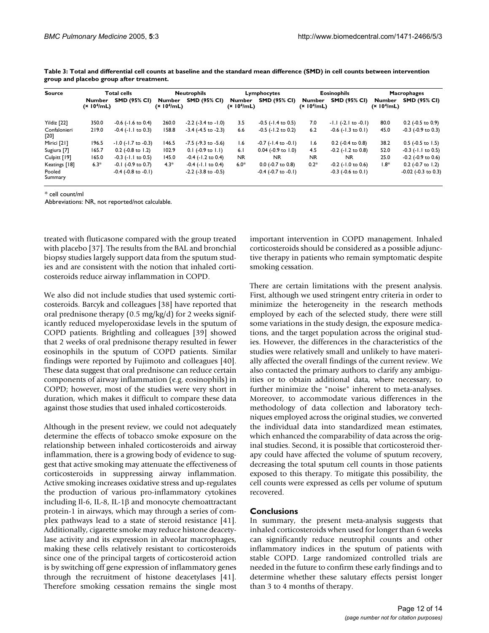| <b>Source</b>        |                                          | Total cells                 | <b>Neutrophils</b>                |                             | Lymphocytes                       |                             | <b>Eosinophils</b>                       |                            | <b>Macrophages</b>                       |                            |
|----------------------|------------------------------------------|-----------------------------|-----------------------------------|-----------------------------|-----------------------------------|-----------------------------|------------------------------------------|----------------------------|------------------------------------------|----------------------------|
|                      | <b>Number</b><br>(x 10 <sup>4</sup> /mL) | <b>SMD (95% CI)</b>         | Number<br>(x 10 <sup>4</sup> /mL) | <b>SMD (95% CI)</b>         | Number<br>(x 10 <sup>4</sup> /mL) | <b>SMD (95% CI)</b>         | <b>Number</b><br>(x 10 <sup>4</sup> /mL) | <b>SMD (95% CI)</b>        | <b>Number</b><br>(x 10 <sup>4</sup> /mL) | <b>SMD (95% CI)</b>        |
| Yildiz [22]          | 350.0                                    | $-0.6$ ( $-1.6$ to 0.4)     | 260.0                             | $-2.2$ ( $-3.4$ to $-1.0$ ) | 3.5                               | $-0.5$ ( $-1.4$ to 0.5)     | 7.0                                      | $-1.1$ (-2.1 to $-0.1$ )   | 80.0                                     | $0.2$ (-0.5 to 0.9)        |
| Confalonieri<br>[20] | 219.0                                    | $-0.4$ ( $-1.1$ to 0.3)     | 158.8                             | $-3.4$ ( $-4.5$ to $-2.3$ ) | 6.6                               | $-0.5$ ( $-1.2$ to 0.2)     | 6.2                                      | $-0.6$ ( $-1.3$ to $0.1$ ) | 45.0                                     | $-0.3$ ( $-0.9$ to 0.3)    |
| Mirici [21]          | 196.5                                    | $-1.0$ ( $-1.7$ to $-0.3$ ) | 146.5                             | $-7.5$ ( $-9.3$ to $-5.6$ ) | 1.6                               | $-0.7$ ( $-1.4$ to $-0.1$ ) | 1.6                                      | $0.2$ (-0.4 to 0.8)        | 38.2                                     | $0.5$ (-0.5 to 1.5)        |
| Sugiura [7]          | 165.7                                    | $0.2$ (-0.8 to 1.2)         | 102.9                             | $0.1$ (-0.9 to 1.1)         | 6.1                               | $0.04$ (-0.9 to 1.0)        | 4.5                                      | $-0.2$ ( $-1.2$ to 0.8)    | 52.0                                     | $-0.3$ ( $-1.1$ to 0.5)    |
| Culpitt [19]         | 165.0                                    | $-0.3$ ( $-1.1$ to 0.5)     | 145.0                             | $-0.4$ ( $-1.2$ to 0.4)     | NR.                               | <b>NR</b>                   | <b>NR</b>                                | <b>NR</b>                  | 25.0                                     | $-0.2$ ( $-0.9$ to $0.6$ ) |
| Keatings [18]        | $6.3*$                                   | $-0.1$ ( $-0.9$ to 0.7)     | $4.3*$                            | $-0.4$ ( $-1.1$ to 0.4)     | $6.0*$                            | $0.0$ (-0.7 to 0.8)         | $0.2*$                                   | $-0.2$ ( $-1.0$ to 0.6)    | $1.8*$                                   | $0.2$ (-0.7 to 1.2)        |
| Pooled<br>Summary    |                                          | $-0.4$ ( $-0.8$ to $-0.1$ ) |                                   | $-2.2$ ( $-3.8$ to $-0.5$ ) |                                   | $-0.4$ ( $-0.7$ to $-0.1$ ) |                                          | $-0.3$ ( $-0.6$ to $0.1$ ) |                                          | $-0.02$ ( $-0.3$ to 0.3)   |

**Table 3: Total and differential cell counts at baseline and the standard mean difference (SMD) in cell counts between intervention group and placebo group after treatment.**

\* cell count/ml

Abbreviations: NR, not reported/not calculable.

treated with fluticasone compared with the group treated with placebo [37]. The results from the BAL and bronchial biopsy studies largely support data from the sputum studies and are consistent with the notion that inhaled corticosteroids reduce airway inflammation in COPD.

We also did not include studies that used systemic corticosteroids. Barcyk and colleagues [38] have reported that oral prednisone therapy (0.5 mg/kg/d) for 2 weeks significantly reduced myeloperoxidase levels in the sputum of COPD patients. Brightling and colleagues [39] showed that 2 weeks of oral prednisone therapy resulted in fewer eosinophils in the sputum of COPD patients. Similar findings were reported by Fujimoto and colleagues [40]. These data suggest that oral prednisone can reduce certain components of airway inflammation (e.g. eosinophils) in COPD; however, most of the studies were very short in duration, which makes it difficult to compare these data against those studies that used inhaled corticosteroids.

Although in the present review, we could not adequately determine the effects of tobacco smoke exposure on the relationship between inhaled corticosteroids and airway inflammation, there is a growing body of evidence to suggest that active smoking may attenuate the effectiveness of corticosteroids in suppressing airway inflammation. Active smoking increases oxidative stress and up-regulates the production of various pro-inflammatory cytokines including Il-6, IL-8, IL-1β and monocyte chemoattractant protein-1 in airways, which may through a series of complex pathways lead to a state of steroid resistance [41]. Additionally, cigarette smoke may reduce histone deacetylase activity and its expression in alveolar macrophages, making these cells relatively resistant to corticosteroids since one of the principal targets of corticosteroid action is by switching off gene expression of inflammatory genes through the recruitment of histone deacetylases [41]. Therefore smoking cessation remains the single most important intervention in COPD management. Inhaled corticosteroids should be considered as a possible adjunctive therapy in patients who remain symptomatic despite smoking cessation.

There are certain limitations with the present analysis. First, although we used stringent entry criteria in order to minimize the heterogeneity in the research methods employed by each of the selected study, there were still some variations in the study design, the exposure medications, and the target population across the original studies. However, the differences in the characteristics of the studies were relatively small and unlikely to have materially affected the overall findings of the current review. We also contacted the primary authors to clarify any ambiguities or to obtain additional data, where necessary, to further minimize the "noise" inherent to meta-analyses. Moreover, to accommodate various differences in the methodology of data collection and laboratory techniques employed across the original studies, we converted the individual data into standardized mean estimates, which enhanced the comparability of data across the original studies. Second, it is possible that corticosteroid therapy could have affected the volume of sputum recovery, decreasing the total sputum cell counts in those patients exposed to this therapy. To mitigate this possibility, the cell counts were expressed as cells per volume of sputum recovered.

## **Conclusions**

In summary, the present meta-analysis suggests that inhaled corticosteroids when used for longer than 6 weeks can significantly reduce neutrophil counts and other inflammatory indices in the sputum of patients with stable COPD. Large randomized controlled trials are needed in the future to confirm these early findings and to determine whether these salutary effects persist longer than 3 to 4 months of therapy.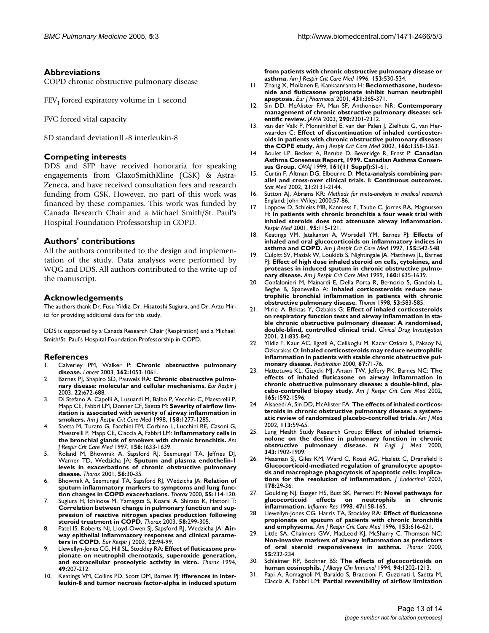## **Abbreviations**

COPD chronic obstructive pulmonary disease

 $FEV<sub>1</sub>$  forced expiratory volume in 1 second

FVC forced vital capacity

SD standard deviationIL-8 interleukin-8

## **Competing interests**

DDS and SFP have received honoraria for speaking engagements from GlaxoSmithKline (GSK) & Astra-Zeneca, and have received consultation fees and research funding from GSK. However, no part of this work was financed by these companies. This work was funded by Canada Research Chair and a Michael Smith/St. Paul's Hospital Foundation Professorship in COPD.

## **Authors' contributions**

All the authors contributed to the design and implementation of the study. Data analyses were performed by WQG and DDS. All authors contributed to the write-up of the manuscript.

## **Acknowledgements**

The authors thank Dr. Füsu Yildiz, Dr. Hisatoshi Sugiura, and Dr. Arzu Mirici for providing additional data for this study.

DDS is supported by a Canada Research Chair (Respiration) and a Michael Smith/St. Paul's Hospital Foundation Professorship in COPD.

## **References**

- 1. Calverley PM, Walker P: **[Chronic obstructive pulmonary](http://www.ncbi.nlm.nih.gov/entrez/query.fcgi?cmd=Retrieve&db=PubMed&dopt=Abstract&list_uids=14522537) [disease.](http://www.ncbi.nlm.nih.gov/entrez/query.fcgi?cmd=Retrieve&db=PubMed&dopt=Abstract&list_uids=14522537)** *Lancet* 2003, **362:**1053-1061.
- Barnes PJ, Shapiro SD, Pauwels RA: [Chronic obstructive pulmo](http://www.ncbi.nlm.nih.gov/entrez/query.fcgi?cmd=Retrieve&db=PubMed&dopt=Abstract&list_uids=14582923)**[nary disease: molecular and cellular mechanisms.](http://www.ncbi.nlm.nih.gov/entrez/query.fcgi?cmd=Retrieve&db=PubMed&dopt=Abstract&list_uids=14582923)** *Eur Respir J* 2003, **22:**672-688.
- 3. Di Stefano A, Capelli A, Lusuardi M, Balbo P, Vecchio C, Maestrelli P, Mapp CE, Fabbri LM, Donner CF, Saetta M: **[Severity of airflow lim](http://www.ncbi.nlm.nih.gov/entrez/query.fcgi?cmd=Retrieve&db=PubMed&dopt=Abstract&list_uids=9769292)[itation is associated with severity of airway inflammation in](http://www.ncbi.nlm.nih.gov/entrez/query.fcgi?cmd=Retrieve&db=PubMed&dopt=Abstract&list_uids=9769292) [smokers.](http://www.ncbi.nlm.nih.gov/entrez/query.fcgi?cmd=Retrieve&db=PubMed&dopt=Abstract&list_uids=9769292)** *Am J Respir Crit Care Med* 1998, **158:**1277-1285.
- 4. Saetta M, Turato G, Facchini FM, Corbino L, Lucchini RE, Casoni G, Maestrelli P, Mapp CE, Ciaccia A, Fabbri LM: **[Inflammatory cells in](http://www.ncbi.nlm.nih.gov/entrez/query.fcgi?cmd=Retrieve&db=PubMed&dopt=Abstract&list_uids=9372687) [the bronchial glands of smokers with chronic bronchitis.](http://www.ncbi.nlm.nih.gov/entrez/query.fcgi?cmd=Retrieve&db=PubMed&dopt=Abstract&list_uids=9372687)** *Am J Respir Crit Care Med* 1997, **156:**1633-1639.
- 5. Roland M, Bhowmik A, Sapsford RJ, Seemungal TA, Jeffries DJ, Warner TD, Wedzicha JA: **[Sputum and plasma endothelin-1](http://www.ncbi.nlm.nih.gov/entrez/query.fcgi?cmd=Retrieve&db=PubMed&dopt=Abstract&list_uids=11120901) [levels in exacerbations of chronic obstructive pulmonary](http://www.ncbi.nlm.nih.gov/entrez/query.fcgi?cmd=Retrieve&db=PubMed&dopt=Abstract&list_uids=11120901) [disease.](http://www.ncbi.nlm.nih.gov/entrez/query.fcgi?cmd=Retrieve&db=PubMed&dopt=Abstract&list_uids=11120901)** *Thorax* 2001, **56:**30-35.
- 6. Bhowmik A, Seemungal TA, Sapsford RJ, Wedzicha JA: **[Relation of](http://www.ncbi.nlm.nih.gov/entrez/query.fcgi?cmd=Retrieve&db=PubMed&dopt=Abstract&list_uids=10639527) [sputum inflammatory markers to symptoms and lung func](http://www.ncbi.nlm.nih.gov/entrez/query.fcgi?cmd=Retrieve&db=PubMed&dopt=Abstract&list_uids=10639527)[tion changes in COPD exacerbations.](http://www.ncbi.nlm.nih.gov/entrez/query.fcgi?cmd=Retrieve&db=PubMed&dopt=Abstract&list_uids=10639527)** *Thorax* 2000, **55:**114-120.
- Sugiura H, Ichinose M, Yamagata S, Koarai A, Shirato K, Hattori T: **[Correlation between change in pulmonary function and sup](http://www.ncbi.nlm.nih.gov/entrez/query.fcgi?cmd=Retrieve&db=PubMed&dopt=Abstract&list_uids=12668791)pression of reactive nitrogen species production following [steroid treatment in COPD.](http://www.ncbi.nlm.nih.gov/entrez/query.fcgi?cmd=Retrieve&db=PubMed&dopt=Abstract&list_uids=12668791)** *Thorax* 2003, **58:**299-305.
- 8. Patel IS, Roberts NJ, Lloyd-Owen SJ, Sapsford RJ, Wedzicha JA: **[Air](http://www.ncbi.nlm.nih.gov/entrez/query.fcgi?cmd=Retrieve&db=PubMed&dopt=Abstract&list_uids=12882457)[way epithelial inflammatory responses and clinical parame](http://www.ncbi.nlm.nih.gov/entrez/query.fcgi?cmd=Retrieve&db=PubMed&dopt=Abstract&list_uids=12882457)[ters in COPD.](http://www.ncbi.nlm.nih.gov/entrez/query.fcgi?cmd=Retrieve&db=PubMed&dopt=Abstract&list_uids=12882457)** *Eur Respir J* 2003, **22:**94-99.
- 9. Llewellyn-Jones CG, Hill SL, Stockley RA: **[Effect of fluticasone pro](http://www.ncbi.nlm.nih.gov/entrez/query.fcgi?cmd=Retrieve&db=PubMed&dopt=Abstract&list_uids=8202875)[pionate on neutrophil chemotaxis, superoxide generation,](http://www.ncbi.nlm.nih.gov/entrez/query.fcgi?cmd=Retrieve&db=PubMed&dopt=Abstract&list_uids=8202875) [and extracellular proteolytic activity in vitro.](http://www.ncbi.nlm.nih.gov/entrez/query.fcgi?cmd=Retrieve&db=PubMed&dopt=Abstract&list_uids=8202875)** *Thorax* 1994, **49:**207-212.
- 10. Keatings VM, Collins PD, Scott DM, Barnes PJ: **[ifferences in inter](http://www.ncbi.nlm.nih.gov/entrez/query.fcgi?cmd=Retrieve&db=PubMed&dopt=Abstract&list_uids=8564092)[leukin-8 and tumor necrosis factor-alpha in induced sputum](http://www.ncbi.nlm.nih.gov/entrez/query.fcgi?cmd=Retrieve&db=PubMed&dopt=Abstract&list_uids=8564092)**

**[from patients with chronic obstructive pulmonary disease or](http://www.ncbi.nlm.nih.gov/entrez/query.fcgi?cmd=Retrieve&db=PubMed&dopt=Abstract&list_uids=8564092) [asthma.](http://www.ncbi.nlm.nih.gov/entrez/query.fcgi?cmd=Retrieve&db=PubMed&dopt=Abstract&list_uids=8564092)** *Am J Respir Crit Care Med* 1996, **153:**530-534.

- 11. Zhang X, Moilanen E, Kankaanranta H: **[Beclomethasone, budeso](http://www.ncbi.nlm.nih.gov/entrez/query.fcgi?cmd=Retrieve&db=PubMed&dopt=Abstract&list_uids=11730731)[nide and fluticasone propionate inhibit human neutrophil](http://www.ncbi.nlm.nih.gov/entrez/query.fcgi?cmd=Retrieve&db=PubMed&dopt=Abstract&list_uids=11730731) [apoptosis.](http://www.ncbi.nlm.nih.gov/entrez/query.fcgi?cmd=Retrieve&db=PubMed&dopt=Abstract&list_uids=11730731)** *Eur J Pharmacol* 2001, **431:**365-371.
- 12. Sin DD, McAlister FA, Man SF, Anthonisen NR: **[Contemporary](http://www.ncbi.nlm.nih.gov/entrez/query.fcgi?cmd=Retrieve&db=PubMed&dopt=Abstract&list_uids=14600189) [management of chronic obstructive pulmonary disease: sci](http://www.ncbi.nlm.nih.gov/entrez/query.fcgi?cmd=Retrieve&db=PubMed&dopt=Abstract&list_uids=14600189)[entific review.](http://www.ncbi.nlm.nih.gov/entrez/query.fcgi?cmd=Retrieve&db=PubMed&dopt=Abstract&list_uids=14600189)** *JAMA* 2003, **290:**2301-2312.
- 13. van der Valk P, Monninkhof E, van der Palen J, Zielhuis G, van Herwaarden C: **[Effect of discontinuation of inhaled corticoster](http://www.ncbi.nlm.nih.gov/entrez/query.fcgi?cmd=Retrieve&db=PubMed&dopt=Abstract&list_uids=12406823)[oids in patients with chronic obstructive pulmonary disease:](http://www.ncbi.nlm.nih.gov/entrez/query.fcgi?cmd=Retrieve&db=PubMed&dopt=Abstract&list_uids=12406823) [the COPE study.](http://www.ncbi.nlm.nih.gov/entrez/query.fcgi?cmd=Retrieve&db=PubMed&dopt=Abstract&list_uids=12406823)** *Am J Respir Crit Care Med* 2002, **166:**1358-1363.
- 14. Boulet LP, Becker A, Berube D, Beveridge R, Ernst P: **[Canadian](http://www.ncbi.nlm.nih.gov/entrez/query.fcgi?cmd=Retrieve&db=PubMed&dopt=Abstract&list_uids=10906907) [Asthma Consensus Report, 1999. Canadian Asthma Consen](http://www.ncbi.nlm.nih.gov/entrez/query.fcgi?cmd=Retrieve&db=PubMed&dopt=Abstract&list_uids=10906907)[sus Group.](http://www.ncbi.nlm.nih.gov/entrez/query.fcgi?cmd=Retrieve&db=PubMed&dopt=Abstract&list_uids=10906907)** *CMAJ* 1999, **161(11 Suppl):**S1-61.
- 15. Curtin F, Altman DG, Elbourne D: **[Meta-analysis combining par](http://www.ncbi.nlm.nih.gov/entrez/query.fcgi?cmd=Retrieve&db=PubMed&dopt=Abstract&list_uids=12210629)[allel and cross-over clinical trials. I: Continuous outcomes.](http://www.ncbi.nlm.nih.gov/entrez/query.fcgi?cmd=Retrieve&db=PubMed&dopt=Abstract&list_uids=12210629)** *Stat Med* 2002, **21:**2131-2144.
- 16. Sutton AJ, Abrams KR: *Methods for meta-analysis in medical research* England: John Wiley; 2000:57-86.
- 17. Loppow D, Schleiss MB, Kanniess F, Taube C, Jorres RA, Magnussen H: **[In patients with chronic bronchitis a four week trial with](http://www.ncbi.nlm.nih.gov/entrez/query.fcgi?cmd=Retrieve&db=PubMed&dopt=Abstract&list_uids=11217907) [inhaled steroids does not attenuate airway inflammation.](http://www.ncbi.nlm.nih.gov/entrez/query.fcgi?cmd=Retrieve&db=PubMed&dopt=Abstract&list_uids=11217907)** *Respir Med* 2001, **95:**115-121.
- 18. Keatings VM, Jatakanon A, Worsdell YM, Barnes PJ: **[Effects of](http://www.ncbi.nlm.nih.gov/entrez/query.fcgi?cmd=Retrieve&db=PubMed&dopt=Abstract&list_uids=9032192) [inhaled and oral glucocorticoids on inflammatory indices in](http://www.ncbi.nlm.nih.gov/entrez/query.fcgi?cmd=Retrieve&db=PubMed&dopt=Abstract&list_uids=9032192) [asthma and COPD.](http://www.ncbi.nlm.nih.gov/entrez/query.fcgi?cmd=Retrieve&db=PubMed&dopt=Abstract&list_uids=9032192)** *Am J Respir Crit Care Med* 1997, **155:**542-548.
- 19. Culpitt SV, Maziak W, Loukidis S, Nightingale JA, Matthews JL, Barnes P|: [Effect of high dose inhaled steroid on cells, cytokines, and](http://www.ncbi.nlm.nih.gov/entrez/query.fcgi?cmd=Retrieve&db=PubMed&dopt=Abstract&list_uids=10556133) **[proteases in induced sputum in chronic obstructive pulmo](http://www.ncbi.nlm.nih.gov/entrez/query.fcgi?cmd=Retrieve&db=PubMed&dopt=Abstract&list_uids=10556133)[nary disease.](http://www.ncbi.nlm.nih.gov/entrez/query.fcgi?cmd=Retrieve&db=PubMed&dopt=Abstract&list_uids=10556133)** *Am J Respir Crit Care Med* 1999, **160:**1635-1639.
- 20. Confalonieri M, Mainardi E, Della Porta R, Bernorio S, Gandola L, Beghe B, Spanevello A: **[Inhaled corticosteroids reduce neu](http://www.ncbi.nlm.nih.gov/entrez/query.fcgi?cmd=Retrieve&db=PubMed&dopt=Abstract&list_uids=9797758)[trophilic bronchial inflammation in patients with chronic](http://www.ncbi.nlm.nih.gov/entrez/query.fcgi?cmd=Retrieve&db=PubMed&dopt=Abstract&list_uids=9797758) [obstructive pulmonary disease.](http://www.ncbi.nlm.nih.gov/entrez/query.fcgi?cmd=Retrieve&db=PubMed&dopt=Abstract&list_uids=9797758)** *Thorax* 1998, **53:**583-585.
- 21. Mirici A, Bektas Y, Ozbakis G: **Effect of inhaled corticosteroids on respiratory function tests and airway inflammation in stable chronic obstructive pulmonary disease: A randomised, double-blind, controlled clinical trial.** *Clinical Drug Investigation* 2001, **21:**835-842.
- 22. Yildiz F, Kaur AC, Ilgazli A, Celikoglu M, Kacar Ozkara S, Paksoy N, Ozkarakas O: **[Inhaled corticosteroids may reduce neutrophilic](http://www.ncbi.nlm.nih.gov/entrez/query.fcgi?cmd=Retrieve&db=PubMed&dopt=Abstract&list_uids=10705266) [inflammation in patients with stable chronic obstructive pul](http://www.ncbi.nlm.nih.gov/entrez/query.fcgi?cmd=Retrieve&db=PubMed&dopt=Abstract&list_uids=10705266)[monary disease.](http://www.ncbi.nlm.nih.gov/entrez/query.fcgi?cmd=Retrieve&db=PubMed&dopt=Abstract&list_uids=10705266)** *Respiration* 2000, **67:**71-76.
- 23. Hattotuwa KL, Gizycki MJ, Ansari TW, Jeffery PK, Barnes NC: **[The](http://www.ncbi.nlm.nih.gov/entrez/query.fcgi?cmd=Retrieve&db=PubMed&dopt=Abstract&list_uids=12070058) effects of inhaled fluticasone on airway inflammation in [chronic obstructive pulmonary disease: a double-blind, pla](http://www.ncbi.nlm.nih.gov/entrez/query.fcgi?cmd=Retrieve&db=PubMed&dopt=Abstract&list_uids=12070058)[cebo-controlled biopsy study.](http://www.ncbi.nlm.nih.gov/entrez/query.fcgi?cmd=Retrieve&db=PubMed&dopt=Abstract&list_uids=12070058)** *Am J Respir Crit Care Med* 2002, **165:**1592-1596.
- 24. Alsaeedi A, Sin DD, McAlister FA: **[The effects of inhaled corticos](http://www.ncbi.nlm.nih.gov/entrez/query.fcgi?cmd=Retrieve&db=PubMed&dopt=Abstract&list_uids=12106623)[teroids in chronic obstructive pulmonary disease: a system](http://www.ncbi.nlm.nih.gov/entrez/query.fcgi?cmd=Retrieve&db=PubMed&dopt=Abstract&list_uids=12106623)[atic review of randomized placebo-controlled trials.](http://www.ncbi.nlm.nih.gov/entrez/query.fcgi?cmd=Retrieve&db=PubMed&dopt=Abstract&list_uids=12106623)** *Am J Med* 2002, **113:**59-65.
- 25. Lung Health Study Research Group: **[Effect of inhaled triamci](http://www.ncbi.nlm.nih.gov/entrez/query.fcgi?cmd=Retrieve&db=PubMed&dopt=Abstract&list_uids=11136260)[nolone on the decline in pulmonary function in chronic](http://www.ncbi.nlm.nih.gov/entrez/query.fcgi?cmd=Retrieve&db=PubMed&dopt=Abstract&list_uids=11136260) [obstructive pulmonary disease.](http://www.ncbi.nlm.nih.gov/entrez/query.fcgi?cmd=Retrieve&db=PubMed&dopt=Abstract&list_uids=11136260)** *N Engl J Med* 2000, **343:**1902-1909.
- 26. Heasman SJ, Giles KM, Ward C, Rossi AG, Haslett C, Dransfield I: **[Glucocorticoid-mediated regulation of granulocyte apopto](http://www.ncbi.nlm.nih.gov/entrez/query.fcgi?cmd=Retrieve&db=PubMed&dopt=Abstract&list_uids=12844333)sis and macrophage phagocytosis of apoptotic cells: implica[tions for the resolution of inflammation.](http://www.ncbi.nlm.nih.gov/entrez/query.fcgi?cmd=Retrieve&db=PubMed&dopt=Abstract&list_uids=12844333)** *J Endocrinol* 2003, **178:**29-36.
- 27. Goulding NJ, Euzger HS, Butt SK, Perretti M: **Novel pathways for glucocorticoid effects on neutrophils in chronic inflammation.** *Inflamm Res* 1998, **47:**158-165.
- 28. Llewellyn-Jones CG, Harris TA, Stockley RA: **[Effect of fluticasone](http://www.ncbi.nlm.nih.gov/entrez/query.fcgi?cmd=Retrieve&db=PubMed&dopt=Abstract&list_uids=8564107) [propionate on sputum of patients with chronic bronchitis](http://www.ncbi.nlm.nih.gov/entrez/query.fcgi?cmd=Retrieve&db=PubMed&dopt=Abstract&list_uids=8564107) [and emphysema.](http://www.ncbi.nlm.nih.gov/entrez/query.fcgi?cmd=Retrieve&db=PubMed&dopt=Abstract&list_uids=8564107)** *Am J Respir Crit Care Med* 1996, **153:**616-621.
- 29. Little SA, Chalmers GW, MacLeod KJ, McSharry C, Thomson NC: **[Non-invasive markers of airway inflammation as predictors](http://www.ncbi.nlm.nih.gov/entrez/query.fcgi?cmd=Retrieve&db=PubMed&dopt=Abstract&list_uids=10679543) [of oral steroid responsiveness in asthma.](http://www.ncbi.nlm.nih.gov/entrez/query.fcgi?cmd=Retrieve&db=PubMed&dopt=Abstract&list_uids=10679543)** *Thorax* 2000, **55:**232-234.
- 30. Schleimer RP, Bochner BS: **[The effects of glucocorticoids on](http://www.ncbi.nlm.nih.gov/entrez/query.fcgi?cmd=Retrieve&db=PubMed&dopt=Abstract&list_uids=7798561) [human eosinophils.](http://www.ncbi.nlm.nih.gov/entrez/query.fcgi?cmd=Retrieve&db=PubMed&dopt=Abstract&list_uids=7798561)** *J Allergy Clin Immunol* 1994, **94:**1202-1213.
- 31. Papi A, Romagnoli M, Baraldo S, Braccioni F, Guzzinati I, Saetta M, Ciaccia A, Fabbri LM: **[Partial reversibility of airflow limitation](http://www.ncbi.nlm.nih.gov/entrez/query.fcgi?cmd=Retrieve&db=PubMed&dopt=Abstract&list_uids=11069811)**